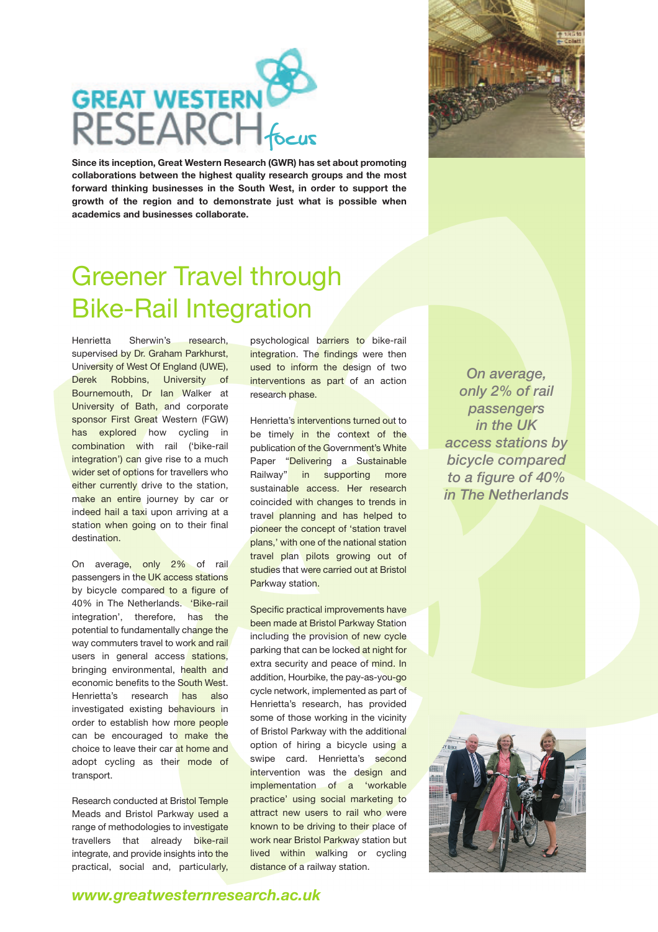

**Since its inception, Great Western Research (GWR) has set about promoting collaborations between the highest quality research groups and the most forward thinking businesses in the South West, in order to support the growth of the region and to demonstrate just what is possible when academics and businesses collaborate.** 



## Greener Travel through Bike-Rail Integration

Henrietta Sherwin's research, supervised by Dr. Graham Parkhurst, University of West Of England (UWE), Derek Robbins, University of Bournemouth, Dr Ian Walker at University of Bath, and corporate sponsor First Great Western (FGW) has explored how cycling in combination with rail ('bike-rail integration') can give rise to a much wider set of options for travellers who either currently drive to the station, make an entire journey by car or indeed hail a taxi upon arriving at a station when going on to their final destination.

On average, only 2% of rail passengers in the UK access stations by bicycle compared to a figure of 40% in The Netherlands. 'Bike-rail integration', therefore, has the potential to fundamentally change the way commuters travel to work and rail users in general access stations, bringing environmental, health and economic benefits to the South West. Henrietta's research has also investigated existing behaviours in order to establish how more people can be encouraged to make the choice to leave their car at home and adopt cycling as their mode of transport.

Research conducted at Bristol Temple Meads and Bristol Parkway used a range of methodologies to investigate travellers that already bike-rail integrate, and provide insights into the practical, social and, particularly,

psychological barriers to bike-rail integration. The findings were then used to inform the design of two interventions as part of an action research phase.

Henrietta's interventions turned out to be timely in the context of the publication of the Government's White Paper "Delivering a Sustainable Railway" in supporting more sustainable access. Her research coincided with changes to trends in travel planning and has helped to pioneer the concept of 'station travel plans,' with one of the national station travel plan pilots growing out of studies that were carried out at Bristol Parkway station.

Specific practical improvements have been made at Bristol Parkway Station including the provision of new cycle parking that can be locked at night for extra security and peace of mind. In addition, Hourbike, the pay-as-you-go cycle network, implemented as part of Henrietta's research, has provided some of those working in the vicinity of Bristol Parkway with the additional option of hiring a bicycle using a swipe card. Henrietta's second intervention was the design and implementation of a 'workable practice' using social marketing to attract new users to rail who were known to be driving to their place of work near Bristol Parkway station but lived within walking or cycling distance of a railway station.

*On average, only 2% of rail passengers in the UK access stations by bicycle compared to a figure of 40% in The Netherlands*